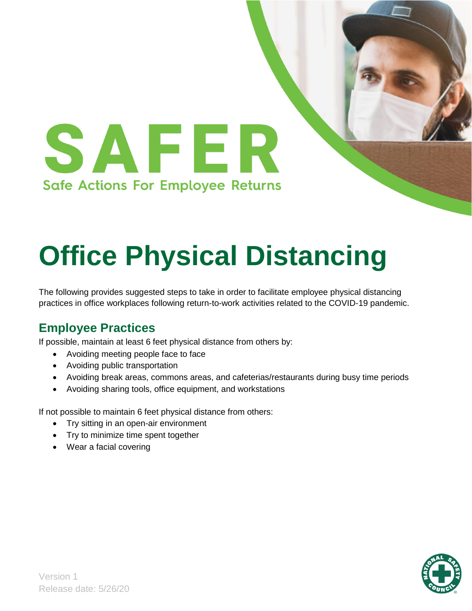

# **Office Physical Distancing**

The following provides suggested steps to take in order to facilitate employee physical distancing practices in office workplaces following return-to-work activities related to the COVID-19 pandemic.

## **Employee Practices**

If possible, maintain at least 6 feet physical distance from others by:

- Avoiding meeting people face to face
- Avoiding public transportation
- Avoiding break areas, commons areas, and cafeterias/restaurants during busy time periods
- Avoiding sharing tools, office equipment, and workstations

If not possible to maintain 6 feet physical distance from others:

- Try sitting in an open-air environment
- Try to minimize time spent together
- Wear a facial covering

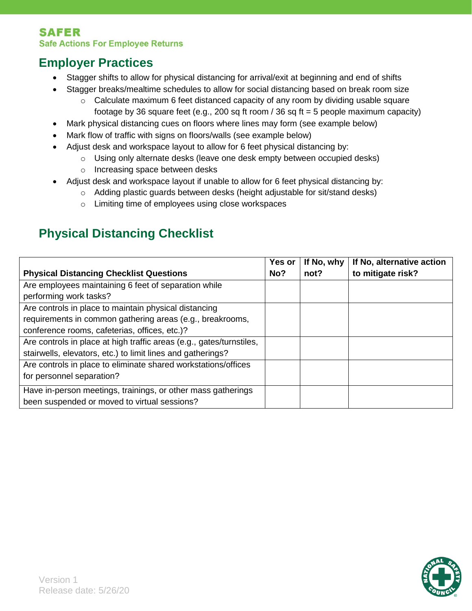#### **SAFER Safe Actions For Employee Returns**

## **Employer Practices**

- Stagger shifts to allow for physical distancing for arrival/exit at beginning and end of shifts
- Stagger breaks/mealtime schedules to allow for social distancing based on break room size
	- $\circ$  Calculate maximum 6 feet distanced capacity of any room by dividing usable square footage by 36 square feet (e.g., 200 sq ft room / 36 sq ft = 5 people maximum capacity)
- Mark physical distancing cues on floors where lines may form (see example below)
- Mark flow of traffic with signs on floors/walls (see example below)
- Adjust desk and workspace layout to allow for 6 feet physical distancing by:
	- $\circ$  Using only alternate desks (leave one desk empty between occupied desks)
	- o Increasing space between desks
- Adjust desk and workspace layout if unable to allow for 6 feet physical distancing by:
	- $\circ$  Adding plastic guards between desks (height adjustable for sit/stand desks)
	- o Limiting time of employees using close workspaces

# **Physical Distancing Checklist**

|                                                                      | Yes or | If No, why | If No, alternative action |
|----------------------------------------------------------------------|--------|------------|---------------------------|
| <b>Physical Distancing Checklist Questions</b>                       | No?    | not?       | to mitigate risk?         |
| Are employees maintaining 6 feet of separation while                 |        |            |                           |
| performing work tasks?                                               |        |            |                           |
| Are controls in place to maintain physical distancing                |        |            |                           |
| requirements in common gathering areas (e.g., breakrooms,            |        |            |                           |
| conference rooms, cafeterias, offices, etc.)?                        |        |            |                           |
| Are controls in place at high traffic areas (e.g., gates/turnstiles, |        |            |                           |
| stairwells, elevators, etc.) to limit lines and gatherings?          |        |            |                           |
| Are controls in place to eliminate shared workstations/offices       |        |            |                           |
| for personnel separation?                                            |        |            |                           |
| Have in-person meetings, trainings, or other mass gatherings         |        |            |                           |
| been suspended or moved to virtual sessions?                         |        |            |                           |

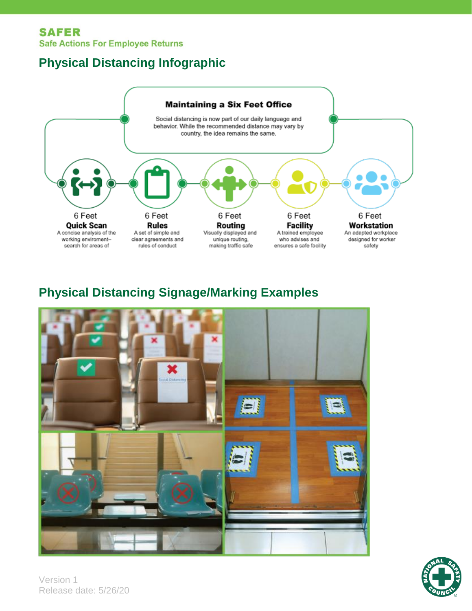#### **SAFER Safe Actions For Employee Returns**

# **Physical Distancing Infographic**



## **Physical Distancing Signage/Marking Examples**





Version 1 Release date: 5/26/20